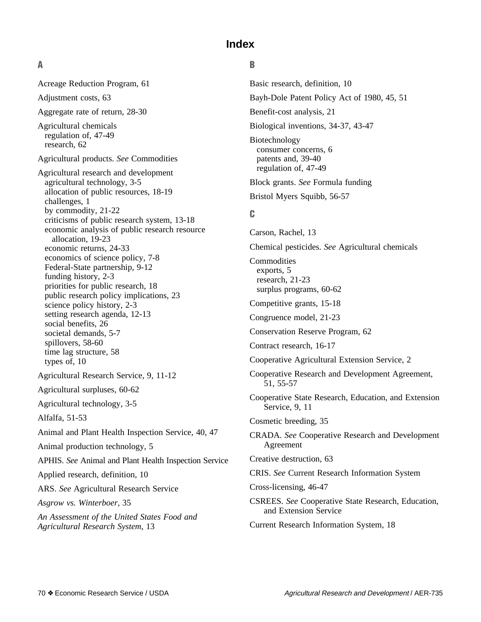# **Index**

# **A**

Acreage Reduction Program, 61 Adjustment costs, 63 Aggregate rate of return, 28-30 Agricultural chemicals regulation of, 47-49 research, 62 Agricultural products. *See* Commodities Agricultural research and development agricultural technology, 3-5 allocation of public resources, 18-19 challenges, 1 by commodity, 21-22 criticisms of public research system, 13-18 economic analysis of public research resource allocation, 19-23 economic returns, 24-33 economics of science policy, 7-8 Federal-State partnership, 9-12 funding history, 2-3 priorities for public research, 18 public research policy implications, 23 science policy history, 2-3 setting research agenda, 12-13 social benefits, 26 societal demands, 5-7 spillovers, 58-60 time lag structure, 58 types of, 10 Agricultural Research Service, 9, 11-12 Agricultural surpluses, 60-62 Agricultural technology, 3-5 Alfalfa, 51-53 Animal and Plant Health Inspection Service, 40, 47 Animal production technology, 5 APHIS. *See* Animal and Plant Health Inspection Service Applied research, definition, 10 ARS. *See* Agricultural Research Service *Asgrow vs. Winterboer*, 35 *An Assessment of the United States Food and Agricultural Research System*, 13

# **B**

Basic research, definition, 10 Bayh-Dole Patent Policy Act of 1980, 45, 51 Benefit-cost analysis, 21 Biological inventions, 34-37, 43-47 Biotechnology consumer concerns, 6 patents and, 39-40 regulation of, 47-49 Block grants. *See* Formula funding Bristol Myers Squibb, 56-57 **C** Carson, Rachel, 13 Chemical pesticides. *See* Agricultural chemicals **Commodities** exports, 5 research, 21-23 surplus programs, 60-62 Competitive grants, 15-18 Congruence model, 21-23 Conservation Reserve Program, 62 Contract research, 16-17 Cooperative Agricultural Extension Service, 2 Cooperative Research and Development Agreement, 51, 55-57 Cooperative State Research, Education, and Extension Service, 9, 11 Cosmetic breeding, 35 CRADA. *See* Cooperative Research and Development Agreement Creative destruction, 63 CRIS. *See* Current Research Information System Cross-licensing, 46-47 CSREES. *See* Cooperative State Research, Education, and Extension Service

Current Research Information System, 18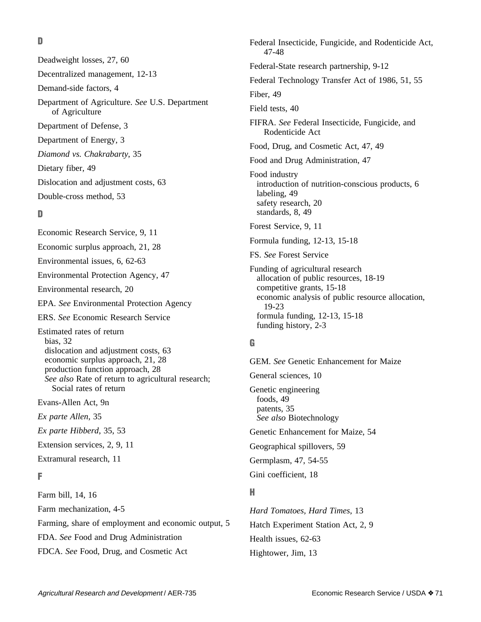**D**

Deadweight losses, 27, 60 Decentralized management, 12-13 Demand-side factors, 4 Department of Agriculture. *See* U.S. Department of Agriculture Department of Defense, 3 Department of Energy, 3 *Diamond vs. Chakrabarty*, 35 Dietary fiber, 49 Dislocation and adjustment costs, 63 Double-cross method, 53

# **D**

Economic Research Service, 9, 11 Economic surplus approach, 21, 28 Environmental issues, 6, 62-63 Environmental Protection Agency, 47 Environmental research, 20 EPA. *See* Environmental Protection Agency ERS. *See* Economic Research Service Estimated rates of return bias, 32 dislocation and adjustment costs, 63 economic surplus approach, 21, 28 production function approach, 28 *See also* Rate of return to agricultural research; Social rates of return Evans-Allen Act, 9n *Ex parte Allen*, 35 *Ex parte Hibberd*, 35, 53 Extension services, 2, 9, 11

# Extramural research, 11

#### **F**

Farm bill, 14, 16 Farm mechanization, 4-5 Farming, share of employment and economic output, 5

FDA. *See* Food and Drug Administration

FDCA. *See* Food, Drug, and Cosmetic Act

Federal Insecticide, Fungicide, and Rodenticide Act, 47-48 Federal-State research partnership, 9-12 Federal Technology Transfer Act of 1986, 51, 55 Fiber, 49 Field tests, 40 FIFRA. *See* Federal Insecticide, Fungicide, and Rodenticide Act Food, Drug, and Cosmetic Act, 47, 49 Food and Drug Administration, 47 Food industry introduction of nutrition-conscious products, 6 labeling, 49 safety research, 20 standards, 8, 49 Forest Service, 9, 11 Formula funding, 12-13, 15-18 FS. *See* Forest Service Funding of agricultural research allocation of public resources, 18-19 competitive grants, 15-18 economic analysis of public resource allocation, 19-23 formula funding, 12-13, 15-18 funding history, 2-3

# **G**

GEM. *See* Genetic Enhancement for Maize General sciences, 10 Genetic engineering foods, 49 patents, 35 *See also* Biotechnology Genetic Enhancement for Maize, 54 Geographical spillovers, 59 Germplasm, 47, 54-55 Gini coefficient, 18

### **H**

*Hard Tomatoes, Hard Times*, 13 Hatch Experiment Station Act, 2, 9 Health issues, 62-63 Hightower, Jim, 13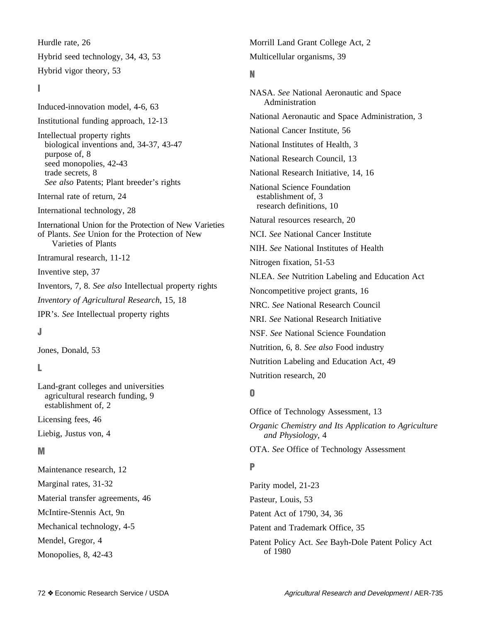Hurdle rate, 26 Hybrid seed technology, 34, 43, 53 Hybrid vigor theory, 53

#### **I**

Induced-innovation model, 4-6, 63 Institutional funding approach, 12-13 Intellectual property rights biological inventions and, 34-37, 43-47 purpose of, 8 seed monopolies, 42-43 trade secrets, 8 *See also* Patents; Plant breeder's rights Internal rate of return, 24 International technology, 28 International Union for the Protection of New Varieties of Plants. *See* Union for the Protection of New Varieties of Plants Intramural research, 11-12 Inventive step, 37 Inventors, 7, 8. *See also* Intellectual property rights *Inventory of Agricultural Research*, 15, 18 IPR's. *See* Intellectual property rights **J**

Jones, Donald, 53

# **L**

Land-grant colleges and universities agricultural research funding, 9 establishment of, 2

Licensing fees, 46

Liebig, Justus von, 4

#### **M**

Maintenance research, 12 Marginal rates, 31-32 Material transfer agreements, 46 McIntire-Stennis Act, 9n Mechanical technology, 4-5 Mendel, Gregor, 4

Monopolies, 8, 42-43

Morrill Land Grant College Act, 2 Multicellular organisms, 39

# **N**

NASA. *See* National Aeronautic and Space Administration National Aeronautic and Space Administration, 3 National Cancer Institute, 56 National Institutes of Health, 3 National Research Council, 13 National Research Initiative, 14, 16 National Science Foundation establishment of, 3 research definitions, 10 Natural resources research, 20 NCI. *See* National Cancer Institute NIH. *See* National Institutes of Health Nitrogen fixation, 51-53 NLEA. *See* Nutrition Labeling and Education Act Noncompetitive project grants, 16 NRC. *See* National Research Council NRI. *See* National Research Initiative NSF. *See* National Science Foundation Nutrition, 6, 8. *See also* Food industry Nutrition Labeling and Education Act, 49 Nutrition research, 20 **O**

Office of Technology Assessment, 13 *Organic Chemistry and Its Application to Agriculture and Physiology*, 4 OTA. *See* Office of Technology Assessment **P**

Parity model, 21-23 Pasteur, Louis, 53 Patent Act of 1790, 34, 36 Patent and Trademark Office, 35 Patent Policy Act. *See* Bayh-Dole Patent Policy Act of 1980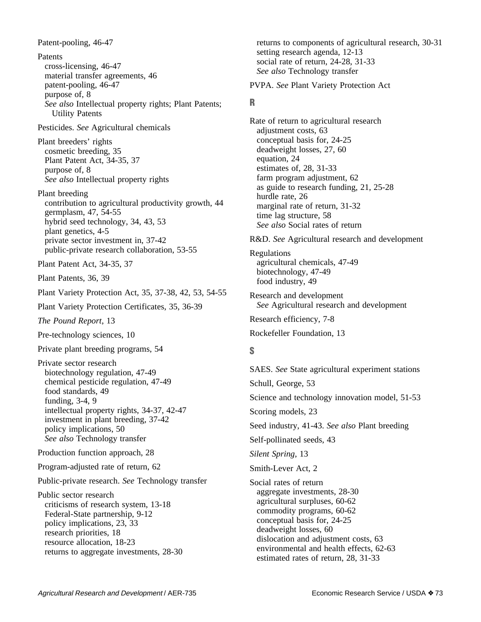Patent-pooling, 46-47 Patents cross-licensing, 46-47 material transfer agreements, 46 patent-pooling, 46-47 purpose of, 8 *See also* Intellectual property rights; Plant Patents; Utility Patents Pesticides. *See* Agricultural chemicals Plant breeders' rights cosmetic breeding, 35 Plant Patent Act, 34-35, 37 purpose of, 8 *See also* Intellectual property rights Plant breeding contribution to agricultural productivity growth, 44 germplasm, 47, 54-55 hybrid seed technology, 34, 43, 53 plant genetics, 4-5 private sector investment in, 37-42 public-private research collaboration, 53-55 Plant Patent Act, 34-35, 37 Plant Patents, 36, 39 Plant Variety Protection Act, 35, 37-38, 42, 53, 54-55 Plant Variety Protection Certificates, 35, 36-39 *The Pound Report*, 13 Pre-technology sciences, 10 Private plant breeding programs, 54 Private sector research biotechnology regulation, 47-49 chemical pesticide regulation, 47-49 food standards, 49 funding, 3-4, 9 intellectual property rights, 34-37, 42-47 investment in plant breeding, 37-42 policy implications, 50 *See also* Technology transfer Production function approach, 28 Program-adjusted rate of return, 62 Public-private research. *See* Technology transfer Public sector research criticisms of research system, 13-18 Federal-State partnership, 9-12 policy implications, 23, 33 research priorities, 18 resource allocation, 18-23 returns to aggregate investments, 28-30

returns to components of agricultural research, 30-31 setting research agenda, 12-13 social rate of return, 24-28, 31-33 *See also* Technology transfer

PVPA. *See* Plant Variety Protection Act

# **R**

Rate of return to agricultural research adjustment costs, 63 conceptual basis for, 24-25 deadweight losses, 27, 60 equation, 24 estimates of, 28, 31-33 farm program adjustment, 62 as guide to research funding, 21, 25-28 hurdle rate, 26 marginal rate of return, 31-32 time lag structure, 58 *See also* Social rates of return

R&D. *See* Agricultural research and development

Regulations agricultural chemicals, 47-49 biotechnology, 47-49 food industry, 49

Research and development *See* Agricultural research and development

Research efficiency, 7-8

Rockefeller Foundation, 13

# **S**

SAES. *See* State agricultural experiment stations Schull, George, 53 Science and technology innovation model, 51-53 Scoring models, 23 Seed industry, 41-43. *See also* Plant breeding Self-pollinated seeds, 43 *Silent Spring*, 13 Smith-Lever Act, 2 Social rates of return aggregate investments, 28-30 agricultural surpluses, 60-62 commodity programs, 60-62 conceptual basis for, 24-25 deadweight losses, 60 dislocation and adjustment costs, 63 environmental and health effects, 62-63

estimated rates of return, 28, 31-33